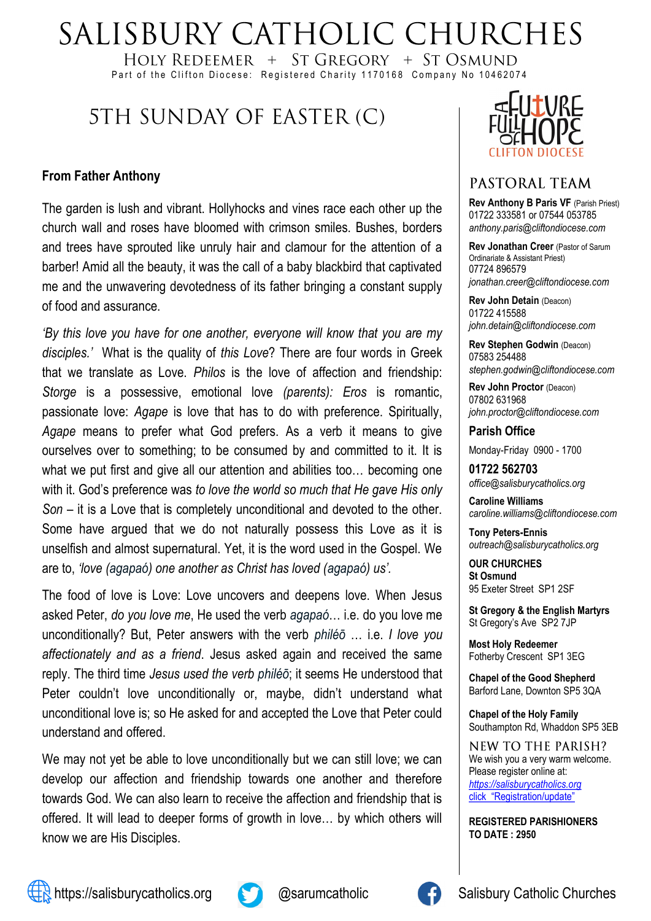# SALISBURY CATHOLIC CHURCHES

HOLY REDEEMER  $+$  ST GREGORY  $+$  ST OSMUND Part of the Clifton Diocese: Registered Charity 1170168 Company No 10462074

# 5TH SUNDAY OF EASTER (C)

#### **From Father Anthony**

The garden is lush and vibrant. Hollyhocks and vines race each other up the church wall and roses have bloomed with crimson smiles. Bushes, borders and trees have sprouted like unruly hair and clamour for the attention of a barber! Amid all the beauty, it was the call of a baby blackbird that captivated me and the unwavering devotedness of its father bringing a constant supply of food and assurance.

*'By this love you have for one another, everyone will know that you are my disciples.'* What is the quality of *this Love*? There are four words in Greek that we translate as Love. *Philos* is the love of affection and friendship: *Storge* is a possessive, emotional love *(parents): Eros* is romantic, passionate love: *Agape* is love that has to do with preference. Spiritually, *Agape* means to prefer what God prefers. As a verb it means to give ourselves over to something; to be consumed by and committed to it. It is what we put first and give all our attention and abilities too... becoming one with it. God's preference was *to love the world so much that He gave His only Son –* it is a Love that is completely unconditional and devoted to the other. Some have argued that we do not naturally possess this Love as it is unselfish and almost supernatural. Yet, it is the word used in the Gospel. We are to, *'love (agapaó) one another as Christ has loved (agapaó) us'.* 

The food of love is Love: Love uncovers and deepens love. When Jesus asked Peter, *do you love me*, He used the verb *agapaó*… i.e. do you love me unconditionally? But, Peter answers with the verb *philéō* … i.e. *I love you affectionately and as a friend*. Jesus asked again and received the same reply. The third time *Jesus used the verb philéō*; it seems He understood that Peter couldn't love unconditionally or, maybe, didn't understand what unconditional love is; so He asked for and accepted the Love that Peter could understand and offered.

We may not yet be able to love unconditionally but we can still love; we can develop our affection and friendship towards one another and therefore towards God. We can also learn to receive the affection and friendship that is offered. It will lead to deeper forms of growth in love… by which others will know we are His Disciples.



#### PASTORAL TEAM

**Rev Anthony B Paris VF (Parish Priest)** 01722 333581 or 07544 053785 *anthony.paris@cliftondiocese.com*

**Rev Jonathan Creer** (Pastor of Sarum Ordinariate & Assistant Priest) 07724 896579 *jonathan.creer@cliftondiocese.com*

**Rev John Detain** (Deacon) 01722 415588 *john.detain@cliftondiocese.com*

**Rev Stephen Godwin** (Deacon) 07583 254488 *stephen.godwin@cliftondiocese.com*

**Rev John Proctor** (Deacon) 07802 631968 *john.proctor@cliftondiocese.com*

**Parish Office** 

Monday-Friday 0900 - 1700

**01722 562703** *office@salisburycatholics.org*

**Caroline Williams** *caroline.williams@cliftondiocese.com*

**Tony Peters-Ennis** *outreach@salisburycatholics.org*

**OUR CHURCHES St Osmund** 95 Exeter Street SP1 2SF

**St Gregory & the English Martyrs** St Gregory's Ave SP2 7JP

**Most Holy Redeemer**  Fotherby Crescent SP1 3EG

**Chapel of the Good Shepherd** Barford Lane, Downton SP5 3QA

**Chapel of the Holy Family** Southampton Rd, Whaddon SP5 3EB

**NEW TO THE PARISH?** We wish you a very warm welcome. Please register online at: *[https://salisburycatholics.org](https://p1.pamis.co.uk/salisbury/onlined01cab)*  [click "Registration/update"](https://p1.pamis.co.uk/salisbury/onlined01cab) 

**REGISTERED PARISHIONERS TO DATE : 2950**





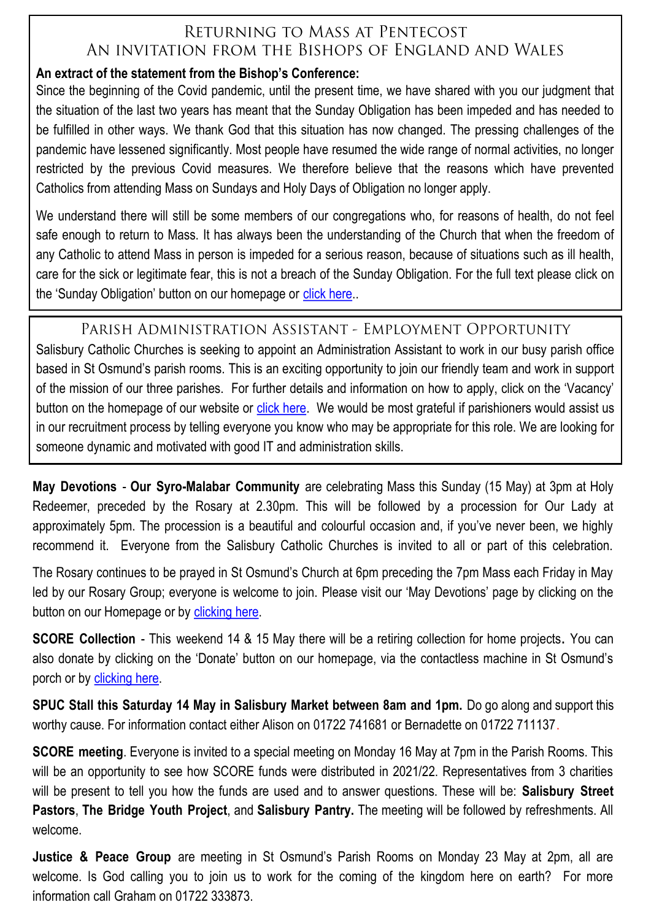### RETURNING TO MASS AT PENTECOST AN INVITATION FROM THE BISHOPS OF ENGLAND AND WALES

#### **An extract of the statement from the Bishop's Conference:**

Since the beginning of the Covid pandemic, until the present time, we have shared with you our judgment that the situation of the last two years has meant that the Sunday Obligation has been impeded and has needed to be fulfilled in other ways. We thank God that this situation has now changed. The pressing challenges of the pandemic have lessened significantly. Most people have resumed the wide range of normal activities, no longer restricted by the previous Covid measures. We therefore believe that the reasons which have prevented Catholics from attending Mass on Sundays and Holy Days of Obligation no longer apply.

We understand there will still be some members of our congregations who, for reasons of health, do not feel safe enough to return to Mass. It has always been the understanding of the Church that when the freedom of any Catholic to attend Mass in person is impeded for a serious reason, because of situations such as ill health, care for the sick or legitimate fear, this is not a breach of the Sunday Obligation. For the full text please click on the 'Sunday Obligation' button on our homepage or [click here.](https://salisburycatholics.org/blog/spring-plenary-2022-resolution-returning-mass-pentecost).

#### PARISH ADMINISTRATION ASSISTANT - EMPLOYMENT OPPORTUNITY

Salisbury Catholic Churches is seeking to appoint an Administration Assistant to work in our busy parish office based in St Osmund's parish rooms. This is an exciting opportunity to join our friendly team and work in support of the mission of our three parishes. For further details and information on how to apply, click on the 'Vacancy' button on the homepage of our website or [click here.](https://salisburycatholics.org/vacancies) We would be most grateful if parishioners would assist us in our recruitment process by telling everyone you know who may be appropriate for this role. We are looking for someone dynamic and motivated with good IT and administration skills.

**May Devotions** - **Our Syro-Malabar Community** are celebrating Mass this Sunday (15 May) at 3pm at Holy Redeemer, preceded by the Rosary at 2.30pm. This will be followed by a procession for Our Lady at approximately 5pm. The procession is a beautiful and colourful occasion and, if you've never been, we highly recommend it. Everyone from the Salisbury Catholic Churches is invited to all or part of this celebration.

The Rosary continues to be prayed in St Osmund's Church at 6pm preceding the 7pm Mass each Friday in May led by our Rosary Group; everyone is welcome to join. Please visit our 'May Devotions' page by clicking on the button on our Homepage or by [clicking here.](https://salisburycatholics.org/may-devotions)

**SCORE Collection** - This weekend 14 & 15 May there will be a retiring collection for home projects**.** You can also donate by clicking on the 'Donate' button on our homepage, via the contactless machine in St Osmund's porch or by [clicking here.](https://salisburycatholics.org/donate-0)

**SPUC Stall this Saturday 14 May in Salisbury Market between 8am and 1pm.** Do go along and support this worthy cause. For information contact either Alison on 01722 741681 or Bernadette on 01722 711137.

**SCORE meeting**. Everyone is invited to a special meeting on Monday 16 May at 7pm in the Parish Rooms. This will be an opportunity to see how SCORE funds were distributed in 2021/22. Representatives from 3 charities will be present to tell you how the funds are used and to answer questions. These will be: **Salisbury Street Pastors**, **The Bridge Youth Project**, and **Salisbury Pantry.** The meeting will be followed by refreshments. All welcome.

**Justice & Peace Group** are meeting in St Osmund's Parish Rooms on Monday 23 May at 2pm, all are welcome. Is God calling you to join us to work for the coming of the kingdom here on earth? For more information call Graham on 01722 333873.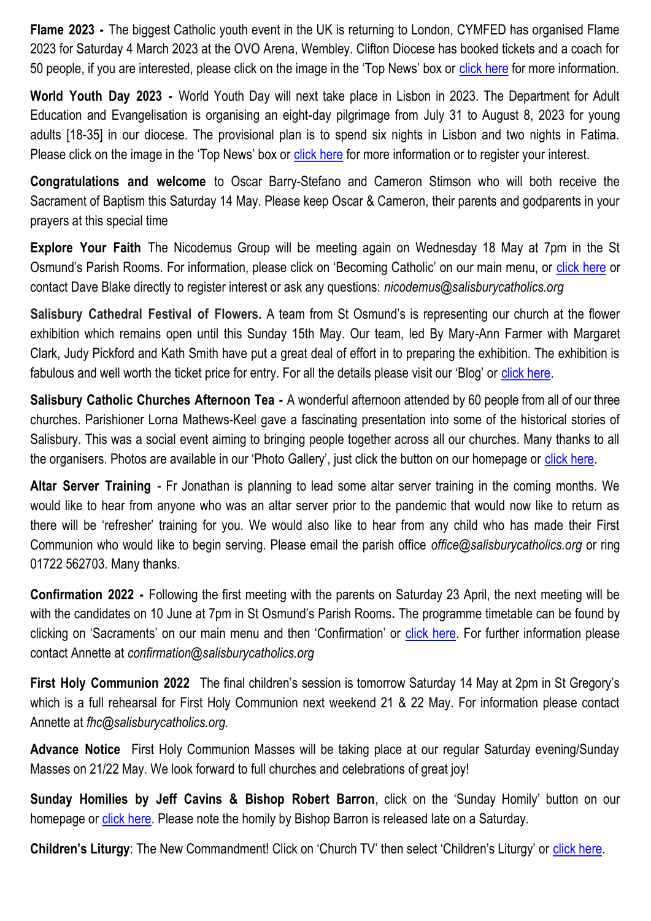**Flame 2023 -** The biggest Catholic youth event in the UK is returning to London, CYMFED has organised Flame 2023 for Saturday 4 March 2023 at the OVO Arena, Wembley. Clifton Diocese has booked tickets and a coach for 50 people, if you are interested, please click on the image in the 'Top News' box or [click here](https://salisburycatholics.org/blog/flame-2023) for more information.

**World Youth Day 2023 -** World Youth Day will next take place in Lisbon in 2023. The Department for Adult Education and Evangelisation is organising an eight-day pilgrimage from July 31 to August 8, 2023 for young adults [18-35] in our diocese. The provisional plan is to spend six nights in Lisbon and two nights in Fatima. Please click on the image in the 'Top News' box or [click here](https://salisburycatholics.org/blog/world-youth-day-lisbon-2023) for more information or to register your interest.

**Congratulations and welcome** to Oscar Barry-Stefano and Cameron Stimson who will both receive the Sacrament of Baptism this Saturday 14 May. Please keep Oscar & Cameron, their parents and godparents in your prayers at this special time

**Explore Your Faith** The Nicodemus Group will be meeting again on Wednesday 18 May at 7pm in the St Osmund's Parish Rooms. For information, please click on 'Becoming Catholic' on our main menu, or [click here](https://salisburycatholics.org/becoming-catholic-0) or contact Dave Blake directly to register interest or ask any questions: *nicodemus@salisburycatholics.org*

**Salisbury Cathedral Festival of Flowers.** A team from St Osmund's is representing our church at the flower exhibition which remains open until this Sunday 15th May. Our team, led By Mary-Ann Farmer with Margaret Clark, Judy Pickford and Kath Smith have put a great deal of effort in to preparing the exhibition. The exhibition is fabulous and well worth the ticket price for entry. For all the details please visit our 'Blog' or [click here.](https://salisburycatholics.org/blog/salisbury-cathedral-festival-flowers)

**Salisbury Catholic Churches Afternoon Tea -** A wonderful afternoon attended by 60 people from all of our three churches. Parishioner Lorna Mathews-Keel gave a fascinating presentation into some of the historical stories of Salisbury. This was a social event aiming to bringing people together across all our churches. Many thanks to all the organisers. Photos are available in our 'Photo Gallery', just click the button on our homepage or [click here.](https://salisburycatholics.org/afternoon-tea-8-may)

**Altar Server Training** - Fr Jonathan is planning to lead some altar server training in the coming months. We would like to hear from anyone who was an altar server prior to the pandemic that would now like to return as there will be 'refresher' training for you. We would also like to hear from any child who has made their First Communion who would like to begin serving. Please email the parish office *office@salisburycatholics.org* or ring 01722 562703. Many thanks.

**Confirmation 2022 -** Following the first meeting with the parents on Saturday 23 April, the next meeting will be with the candidates on 10 June at 7pm in St Osmund's Parish Rooms**.** The programme timetable can be found by clicking on 'Sacraments' on our main menu and then 'Confirmation' or [click here.](https://salisburycatholics.org/confirmation) For further information please contact Annette at *confirmation@salisburycatholics.org*

**First Holy Communion 2022** The final children's session is tomorrow Saturday 14 May at 2pm in St Gregory's which is a full rehearsal for First Holy Communion next weekend 21 & 22 May. For information please contact Annette at *fhc@salisburycatholics.org.* 

**Advance Notice** First Holy Communion Masses will be taking place at our regular Saturday evening/Sunday Masses on 21/22 May. We look forward to full churches and celebrations of great joy!

**Sunday Homilies by Jeff Cavins & Bishop Robert Barron, click on the 'Sunday Homily' button on our** homepage or [click here.](https://salisburycatholics.org/sunday-homily) Please note the homily by Bishop Barron is released late on a Saturday.

**Children's Liturgy**: The New Commandment! Click on 'Church TV' then select 'Children's Liturgy' or click here.